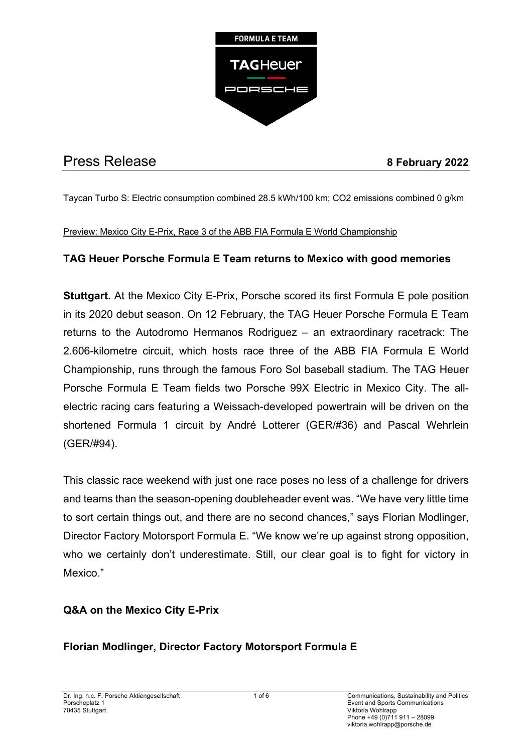

# Press Release **8 February 2022**

Taycan Turbo S: Electric consumption combined 28.5 kWh/100 km; CO2 emissions combined 0 g/km

## Preview: Mexico City E-Prix, Race 3 of the ABB FIA Formula E World Championship

# **TAG Heuer Porsche Formula E Team returns to Mexico with good memories**

**Stuttgart.** At the Mexico City E-Prix, Porsche scored its first Formula E pole position in its 2020 debut season. On 12 February, the TAG Heuer Porsche Formula E Team returns to the Autodromo Hermanos Rodriguez – an extraordinary racetrack: The 2.606-kilometre circuit, which hosts race three of the ABB FIA Formula E World Championship, runs through the famous Foro Sol baseball stadium. The TAG Heuer Porsche Formula E Team fields two Porsche 99X Electric in Mexico City. The allelectric racing cars featuring a Weissach-developed powertrain will be driven on the shortened Formula 1 circuit by André Lotterer (GER/#36) and Pascal Wehrlein (GER/#94).

This classic race weekend with just one race poses no less of a challenge for drivers and teams than the season-opening doubleheader event was. "We have very little time to sort certain things out, and there are no second chances," says Florian Modlinger, Director Factory Motorsport Formula E. "We know we're up against strong opposition, who we certainly don't underestimate. Still, our clear goal is to fight for victory in Mexico."

# **Q&A on the Mexico City E-Prix**

# **Florian Modlinger, Director Factory Motorsport Formula E**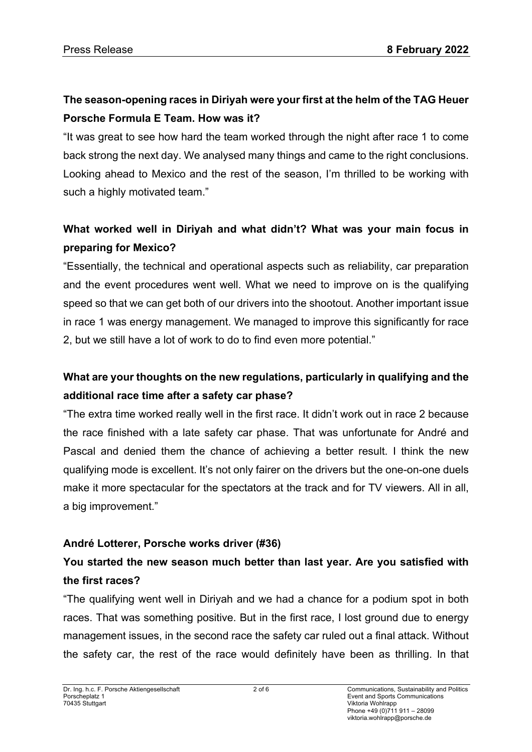# **The season-opening races in Diriyah were your first at the helm of the TAG Heuer Porsche Formula E Team. How was it?**

"It was great to see how hard the team worked through the night after race 1 to come back strong the next day. We analysed many things and came to the right conclusions. Looking ahead to Mexico and the rest of the season, I'm thrilled to be working with such a highly motivated team."

# **What worked well in Diriyah and what didn't? What was your main focus in preparing for Mexico?**

"Essentially, the technical and operational aspects such as reliability, car preparation and the event procedures went well. What we need to improve on is the qualifying speed so that we can get both of our drivers into the shootout. Another important issue in race 1 was energy management. We managed to improve this significantly for race 2, but we still have a lot of work to do to find even more potential."

# **What are your thoughts on the new regulations, particularly in qualifying and the additional race time after a safety car phase?**

"The extra time worked really well in the first race. It didn't work out in race 2 because the race finished with a late safety car phase. That was unfortunate for André and Pascal and denied them the chance of achieving a better result. I think the new qualifying mode is excellent. It's not only fairer on the drivers but the one-on-one duels make it more spectacular for the spectators at the track and for TV viewers. All in all, a big improvement."

# **André Lotterer, Porsche works driver (#36)**

# **You started the new season much better than last year. Are you satisfied with the first races?**

"The qualifying went well in Diriyah and we had a chance for a podium spot in both races. That was something positive. But in the first race, I lost ground due to energy management issues, in the second race the safety car ruled out a final attack. Without the safety car, the rest of the race would definitely have been as thrilling. In that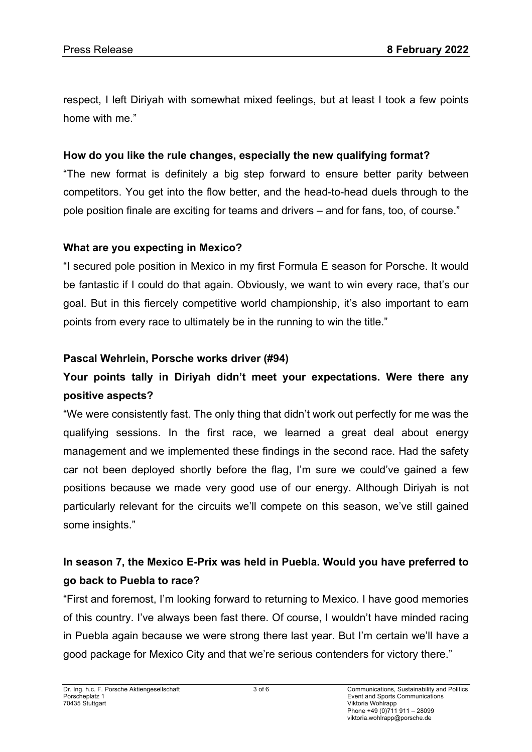respect, I left Diriyah with somewhat mixed feelings, but at least I took a few points home with me."

### **How do you like the rule changes, especially the new qualifying format?**

"The new format is definitely a big step forward to ensure better parity between competitors. You get into the flow better, and the head-to-head duels through to the pole position finale are exciting for teams and drivers – and for fans, too, of course."

#### **What are you expecting in Mexico?**

"I secured pole position in Mexico in my first Formula E season for Porsche. It would be fantastic if I could do that again. Obviously, we want to win every race, that's our goal. But in this fiercely competitive world championship, it's also important to earn points from every race to ultimately be in the running to win the title."

#### **Pascal Wehrlein, Porsche works driver (#94)**

# **Your points tally in Diriyah didn't meet your expectations. Were there any positive aspects?**

"We were consistently fast. The only thing that didn't work out perfectly for me was the qualifying sessions. In the first race, we learned a great deal about energy management and we implemented these findings in the second race. Had the safety car not been deployed shortly before the flag, I'm sure we could've gained a few positions because we made very good use of our energy. Although Diriyah is not particularly relevant for the circuits we'll compete on this season, we've still gained some insights."

# **In season 7, the Mexico E-Prix was held in Puebla. Would you have preferred to go back to Puebla to race?**

"First and foremost, I'm looking forward to returning to Mexico. I have good memories of this country. I've always been fast there. Of course, I wouldn't have minded racing in Puebla again because we were strong there last year. But I'm certain we'll have a good package for Mexico City and that we're serious contenders for victory there."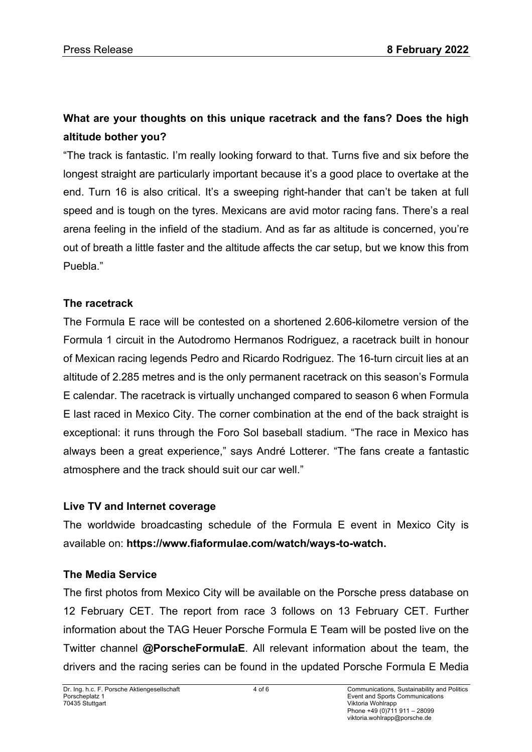# **What are your thoughts on this unique racetrack and the fans? Does the high altitude bother you?**

"The track is fantastic. I'm really looking forward to that. Turns five and six before the longest straight are particularly important because it's a good place to overtake at the end. Turn 16 is also critical. It's a sweeping right-hander that can't be taken at full speed and is tough on the tyres. Mexicans are avid motor racing fans. There's a real arena feeling in the infield of the stadium. And as far as altitude is concerned, you're out of breath a little faster and the altitude affects the car setup, but we know this from Puebla."

# **The racetrack**

The Formula E race will be contested on a shortened 2.606-kilometre version of the Formula 1 circuit in the Autodromo Hermanos Rodriguez, a racetrack built in honour of Mexican racing legends Pedro and Ricardo Rodriguez. The 16-turn circuit lies at an altitude of 2.285 metres and is the only permanent racetrack on this season's Formula E calendar. The racetrack is virtually unchanged compared to season 6 when Formula E last raced in Mexico City. The corner combination at the end of the back straight is exceptional: it runs through the Foro Sol baseball stadium. "The race in Mexico has always been a great experience," says André Lotterer. "The fans create a fantastic atmosphere and the track should suit our car well."

### **Live TV and Internet coverage**

The worldwide broadcasting schedule of the Formula E event in Mexico City is available on: **https://www.fiaformulae.com/watch/ways-to-watch.**

# **The Media Service**

The first photos from Mexico City will be available on the Porsche press database on 12 February CET. The report from race 3 follows on 13 February CET. Further information about the TAG Heuer Porsche Formula E Team will be posted live on the Twitter channel **@PorscheFormulaE**. All relevant information about the team, the drivers and the racing series can be found in the updated Porsche Formula E Media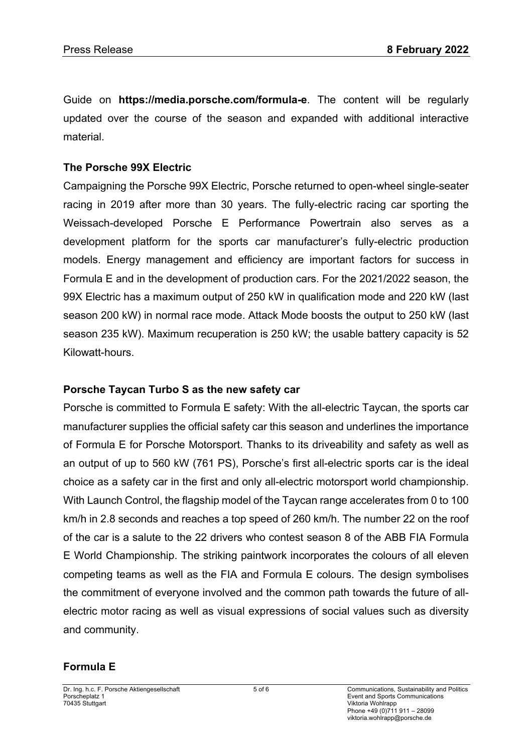Guide on **https://media.porsche.com/formula-e**. The content will be regularly updated over the course of the season and expanded with additional interactive material.

## **The Porsche 99X Electric**

Campaigning the Porsche 99X Electric, Porsche returned to open-wheel single-seater racing in 2019 after more than 30 years. The fully-electric racing car sporting the Weissach-developed Porsche E Performance Powertrain also serves as a development platform for the sports car manufacturer's fully-electric production models. Energy management and efficiency are important factors for success in Formula E and in the development of production cars. For the 2021/2022 season, the 99X Electric has a maximum output of 250 kW in qualification mode and 220 kW (last season 200 kW) in normal race mode. Attack Mode boosts the output to 250 kW (last season 235 kW). Maximum recuperation is 250 kW; the usable battery capacity is 52 Kilowatt-hours.

# **Porsche Taycan Turbo S as the new safety car**

Porsche is committed to Formula E safety: With the all-electric Taycan, the sports car manufacturer supplies the official safety car this season and underlines the importance of Formula E for Porsche Motorsport. Thanks to its driveability and safety as well as an output of up to 560 kW (761 PS), Porsche's first all-electric sports car is the ideal choice as a safety car in the first and only all-electric motorsport world championship. With Launch Control, the flagship model of the Taycan range accelerates from 0 to 100 km/h in 2.8 seconds and reaches a top speed of 260 km/h. The number 22 on the roof of the car is a salute to the 22 drivers who contest season 8 of the ABB FIA Formula E World Championship. The striking paintwork incorporates the colours of all eleven competing teams as well as the FIA and Formula E colours. The design symbolises the commitment of everyone involved and the common path towards the future of allelectric motor racing as well as visual expressions of social values such as diversity and community.

# **Formula E**